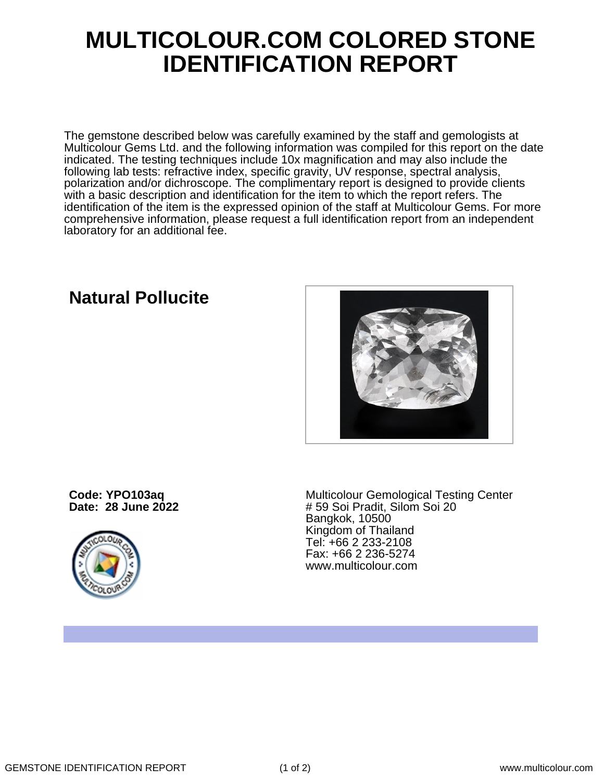## **MULTICOLOUR.COM COLORED STONE IDENTIFICATION REPORT**

The gemstone described below was carefully examined by the staff and gemologists at Multicolour Gems Ltd. and the following information was compiled for this report on the date indicated. The testing techniques include 10x magnification and may also include the following lab tests: refractive index, specific gravity, UV response, spectral analysis, polarization and/or dichroscope. The complimentary report is designed to provide clients with a basic description and identification for the item to which the report refers. The identification of the item is the expressed opinion of the staff at Multicolour Gems. For more comprehensive information, please request a full identification report from an independent laboratory for an additional fee.

## **Natural Pollucite**



**Code: YPO103aq Date: 28 June 2022**



Multicolour Gemological Testing Center # 59 Soi Pradit, Silom Soi 20 Bangkok, 10500 Kingdom of Thailand Tel: +66 2 233-2108 Fax: +66 2 236-5274 www.multicolour.com